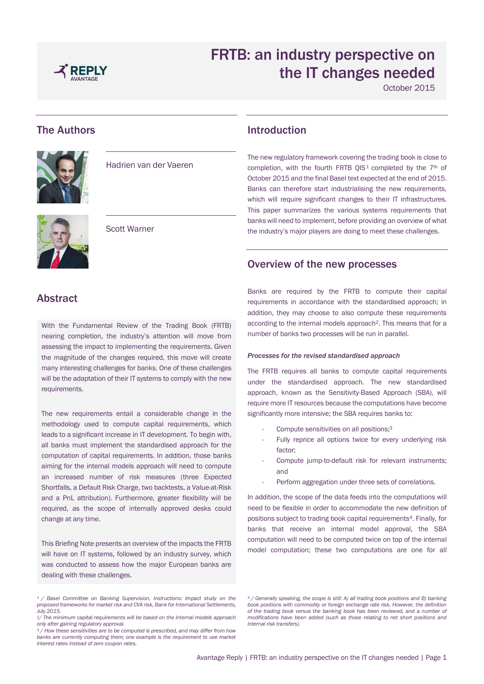

October 2015

# The Authors



Hadrien van der Vaeren



Abstract

requirements.

change at any time.

dealing with these challenges.

Scott Warner

With the Fundamental Review of the Trading Book (FRTB) nearing completion, the industry's attention will move from assessing the impact to implementing the requirements. Given the magnitude of the changes required, this move will create many interesting challenges for banks. One of these challenges will be the adaptation of their IT systems to comply with the new

The new requirements entail a considerable change in the methodology used to compute capital requirements, which leads to a significant increase in IT development. To begin with, all banks must implement the standardised approach for the computation of capital requirements. In addition, those banks aiming for the internal models approach will need to compute an increased number of risk measures (three Expected Shortfalls, a Default Risk Charge, two backtests, a Value-at-Risk and a PnL attribution). Furthermore, greater flexibility will be required, as the scope of internally approved desks could

## Introduction

The new regulatory framework covering the trading book is close to completion, with the fourth FRTB QIS<sup>1</sup> completed by the  $7<sup>th</sup>$  of October 2015 and the final Basel text expected at the end of 2015. Banks can therefore start industrialising the new requirements, which will require significant changes to their IT infrastructures. This paper summarizes the various systems requirements that banks will need to implement, before providing an overview of what the industry's major players are doing to meet these challenges.

## Overview of the new processes

Banks are required by the FRTB to compute their capital requirements in accordance with the standardised approach; in addition, they may choose to also compute these requirements according to the internal models approach2. This means that for a number of banks two processes will be run in parallel.

#### *Processes for the revised standardised approach*

The FRTB requires all banks to compute capital requirements under the standardised approach. The new standardised approach, known as the Sensitivity-Based Approach (SBA), will require more IT resources because the computations have become significantly more intensive; the SBA requires banks to:

- Compute sensitivities on all positions;<sup>3</sup>
- Fully reprice all options twice for every underlying risk factor;
- Compute jump-to-default risk for relevant instruments; and
- Perform aggregation under three sets of correlations.

In addition, the scope of the data feeds into the computations will need to be flexible in order to accommodate the new definition of positions subject to trading book capital requirements<sup>4</sup>. Finally, for banks that receive an internal model approval, the SBA computation will need to be computed twice on top of the internal model computation; these two computations are one for all

This Briefing Note presents an overview of the impacts the FRTB will have on IT systems, followed by an industry survey, which was conducted to assess how the major European banks are

*<sup>1</sup> / Basel Committee on Banking Supervision, Instructions: Impact study on the proposed frameworks for market risk and CVA risk, Bank for International Settlements, July 2015.* 

*<sup>2</sup>/ The minimum capital requirements will be based on the internal models approach only after gaining regulatory approval.* 

*<sup>3</sup> / How these sensitivities are to be computed is prescribed, and may differ from how banks are currently computing them; one example is the requirement to use market interest rates instead of zero coupon rates.* 

*<sup>4</sup> / Generally speaking, the scope is still: A) all trading book positions and B) banking book positions with commodity or foreign exchange rate risk. However, the definition of the trading book versus the banking book has been reviewed, and a number of modifications have been added (such as those relating to net short positions and internal risk transfers).*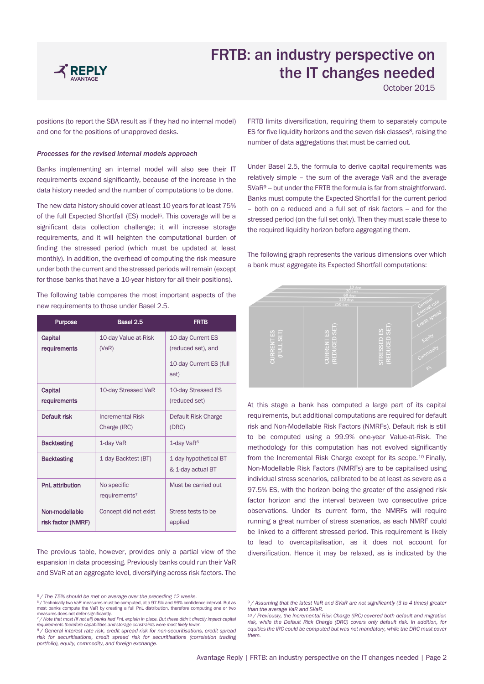

October 2015

positions (to report the SBA result as if they had no internal model) and one for the positions of unapproved desks.

#### *Processes for the revised internal models approach*

Banks implementing an internal model will also see their IT requirements expand significantly, because of the increase in the data history needed and the number of computations to be done.

The new data history should cover at least 10 years for at least 75% of the full Expected Shortfall (ES) model<sup>5</sup>. This coverage will be a significant data collection challenge; it will increase storage requirements, and it will heighten the computational burden of finding the stressed period (which must be updated at least monthly). In addition, the overhead of computing the risk measure under both the current and the stressed periods will remain (except for those banks that have a 10-year history for all their positions).

The following table compares the most important aspects of the new requirements to those under Basel 2.5.

| <b>Purpose</b>                       | Basel 2.5                                | <b>FRTB</b>                                                                |  |
|--------------------------------------|------------------------------------------|----------------------------------------------------------------------------|--|
| Capital<br>requirements              | 10-day Value-at-Risk<br>(VaR)            | 10-day Current ES<br>(reduced set), and<br>10-day Current ES (full<br>set) |  |
| Capital<br>requirements              | 10-day Stressed VaR                      | 10-day Stressed ES<br>(reduced set)                                        |  |
| Default risk                         | <b>Incremental Risk</b><br>Charge (IRC)  | Default Risk Charge<br>(DRC)                                               |  |
| <b>Backtesting</b>                   | 1-day VaR                                | 1-day VaR <sup>6</sup>                                                     |  |
| <b>Backtesting</b>                   | 1-day Backtest (BT)                      | 1-day hypothetical BT<br>& 1-day actual BT                                 |  |
| PnL attribution                      | No specific<br>requirements <sup>7</sup> | Must be carried out                                                        |  |
| Non-modellable<br>risk factor (NMRF) | Concept did not exist                    | Stress tests to be<br>applied                                              |  |

The previous table, however, provides only a partial view of the expansion in data processing. Previously banks could run their VaR and SVaR at an aggregate level, diversifying across risk factors. The FRTB limits diversification, requiring them to separately compute ES for five liquidity horizons and the seven risk classes<sup>8</sup>, raising the number of data aggregations that must be carried out.

Under Basel 2.5, the formula to derive capital requirements was relatively simple – the sum of the average VaR and the average SVaR<sup>9</sup> -- but under the FRTB the formula is far from straightforward. Banks must compute the Expected Shortfall for the current period – both on a reduced and a full set of risk factors -- and for the stressed period (on the full set only). Then they must scale these to the required liquidity horizon before aggregating them.

The following graph represents the various dimensions over which a bank must aggregate its Expected Shortfall computations:



At this stage a bank has computed a large part of its capital requirements, but additional computations are required for default risk and Non-Modellable Risk Factors (NMRFs). Default risk is still to be computed using a 99.9% one-year Value-at-Risk. The methodology for this computation has not evolved significantly from the Incremental Risk Charge except for its scope.10 Finally, Non-Modellable Risk Factors (NMRFs) are to be capitalised using individual stress scenarios, calibrated to be at least as severe as a 97.5% ES, with the horizon being the greater of the assigned risk factor horizon and the interval between two consecutive price observations. Under its current form, the NMRFs will require running a great number of stress scenarios, as each NMRF could be linked to a different stressed period. This requirement is likely to lead to overcapitalisation, as it does not account for diversification. Hence it may be relaxed, as is indicated by the

*<sup>5</sup> / The 75% should be met on average over the preceding 12 weeks.*  <sup>6</sup> / Technically two VaR measures must be computed, at a 97.5% and 99% confidence interval. But as most banks compute the VaR by creating a full PnL distribution, therefore computing one or two<br>measures does not defer significantly.<br>7 / Note that most (if not all) banks had PnL explain in place. But these didn't directl

*rece that most the recently summarized the supplier constraints were most likely lowerents therefore capabilities and storage constraints were most likely lower.* 

*<sup>8</sup> / General interest rate risk, credit spread risk for non-securitisations, credit spread risk for securitisations, credit spread risk for securitisations (correlation trading portfolio), equity, commodity, and foreign exchange.* 

*<sup>9</sup> / Assuming that the latest VaR and SVaR are not significantly (3 to 4 times) greater than the average VaR and SVaR.* 

*<sup>10</sup> / Previously, the Incremental Risk Charge (IRC) covered both default and migration risk, while the Default Rick Charge (DRC) covers only default risk. In addition, for*  equities the IRC could be computed but was not mandatory, while the DRC must cover *them.*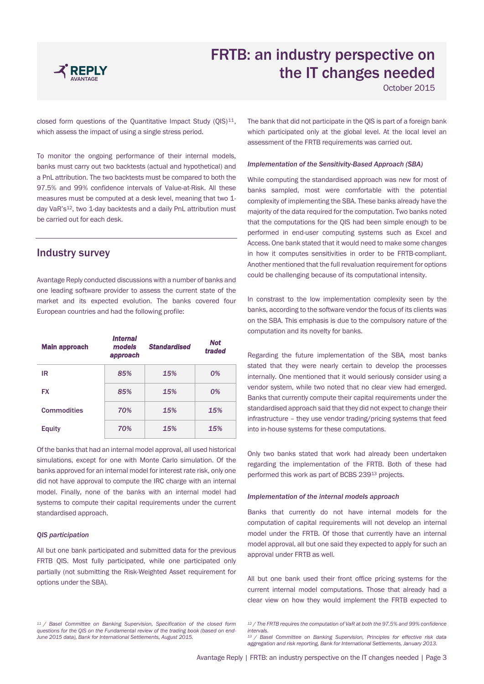

October 2015

closed form questions of the Quantitative Impact Study  $(Q|S)^{11}$ , which assess the impact of using a single stress period.

To monitor the ongoing performance of their internal models, banks must carry out two backtests (actual and hypothetical) and a PnL attribution. The two backtests must be compared to both the 97.5% and 99% confidence intervals of Value-at-Risk. All these measures must be computed at a desk level, meaning that two 1 day VaR's<sup>12</sup>, two 1-day backtests and a daily PnL attribution must be carried out for each desk.

## Industry survey

Avantage Reply conducted discussions with a number of banks and one leading software provider to assess the current state of the market and its expected evolution. The banks covered four European countries and had the following profile:

| <b>Main approach</b> | <i><b>Internal</b></i><br>models<br>approach | <b>Standardised</b> | <b>Not</b><br>traded |
|----------------------|----------------------------------------------|---------------------|----------------------|
| IR                   | 85%                                          | 15%                 | 0%                   |
| <b>FX</b>            | 85%                                          | 15%                 | 0%                   |
| Commodities          | 70%                                          | 15%                 | 15%                  |
| <b>Equity</b>        | 70%                                          | 15%                 | 15%                  |

Of the banks that had an internal model approval, all used historical simulations, except for one with Monte Carlo simulation. Of the banks approved for an internal model for interest rate risk, only one did not have approval to compute the IRC charge with an internal model. Finally, none of the banks with an internal model had systems to compute their capital requirements under the current standardised approach.

### *QIS participation*

All but one bank participated and submitted data for the previous FRTB QIS. Most fully participated, while one participated only partially (not submitting the Risk-Weighted Asset requirement for options under the SBA).

*<sup>11</sup> / Basel Committee on Banking Supervision, Specification of the closed form questions for the QIS on the Fundamental review of the trading book (based on end-June 2015 data), Bank for International Settlements, August 2015.* 

The bank that did not participate in the QIS is part of a foreign bank which participated only at the global level. At the local level an assessment of the FRTB requirements was carried out.

#### *Implementation of the Sensitivity-Based Approach (SBA)*

While computing the standardised approach was new for most of banks sampled, most were comfortable with the potential complexity of implementing the SBA. These banks already have the majority of the data required for the computation. Two banks noted that the computations for the QIS had been simple enough to be performed in end-user computing systems such as Excel and Access. One bank stated that it would need to make some changes in how it computes sensitivities in order to be FRTB-compliant. Another mentioned that the full revaluation requirement for options could be challenging because of its computational intensity.

In constrast to the low implementation complexity seen by the banks, according to the software vendor the focus of its clients was on the SBA. This emphasis is due to the compulsory nature of the computation and its novelty for banks.

Regarding the future implementation of the SBA, most banks stated that they were nearly certain to develop the processes internally. One mentioned that it would seriously consider using a vendor system, while two noted that no clear view had emerged. Banks that currently compute their capital requirements under the standardised approach said that they did not expect to change their infrastructure – they use vendor trading/pricing systems that feed into in-house systems for these computations.

Only two banks stated that work had already been undertaken regarding the implementation of the FRTB. Both of these had performed this work as part of BCBS 23913 projects.

#### *Implementation of the internal models approach*

Banks that currently do not have internal models for the computation of capital requirements will not develop an internal model under the FRTB. Of those that currently have an internal model approval, all but one said they expected to apply for such an approval under FRTB as well.

All but one bank used their front office pricing systems for the current internal model computations. Those that already had a clear view on how they would implement the FRTB expected to

*<sup>12</sup> / The FRTB requires the computation of VaR at both the 97.5% and 99% confidence intervals.* 

*<sup>13</sup> / Basel Committee on Banking Supervision, Principles for effective risk data aggregation and risk reporting, Bank for International Settlements, January 2013.*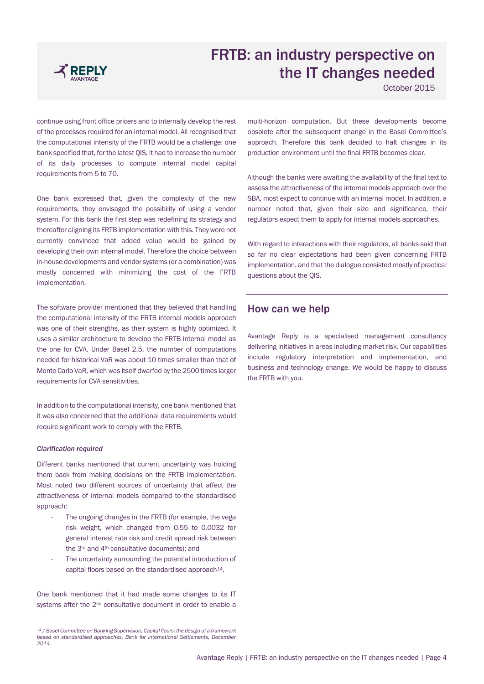

October 2015

continue using front office pricers and to internally develop the rest of the processes required for an internal model. All recognised that the computational intensity of the FRTB would be a challenge; one bank specified that, for the latest QIS, it had to increase the number of its daily processes to compute internal model capital requirements from 5 to 70.

One bank expressed that, given the complexity of the new requirements, they envisaged the possibility of using a vendor system. For this bank the first step was redefining its strategy and thereafter aligning its FRTB implementation with this. They were not currently convinced that added value would be gained by developing their own internal model. Therefore the choice between in-house developments and vendor systems (or a combination) was mostly concerned with minimizing the cost of the FRTB implementation.

The software provider mentioned that they believed that handling the computational intensity of the FRTB internal models approach was one of their strengths, as their system is highly optimized. It uses a similar architecture to develop the FRTB internal model as the one for CVA. Under Basel 2.5, the number of computations needed for historical VaR was about 10 times smaller than that of Monte Carlo VaR, which was itself dwarfed by the 2500 times larger requirements for CVA sensitivities.

In addition to the computational intensity, one bank mentioned that it was also concerned that the additional data requirements would require significant work to comply with the FRTB.

#### *Clarification required*

Different banks mentioned that current uncertainty was holding them back from making decisions on the FRTB implementation. Most noted two different sources of uncertainty that affect the attractiveness of internal models compared to the standardised approach:

- The ongoing changes in the FRTB (for example, the vega risk weight, which changed from 0.55 to 0.0032 for general interest rate risk and credit spread risk between the 3<sup>rd</sup> and 4<sup>th</sup> consultative documents); and
- The uncertainty surrounding the potential introduction of capital floors based on the standardised approach<sup>14</sup>.

One bank mentioned that it had made some changes to its IT systems after the 2<sup>nd</sup> consultative document in order to enable a

*<sup>14</sup> / Basel Committee on Banking Supervision, Capital floors: the design of a framework based on standardised approaches, Bank for International Settlements, December 2014.*

multi-horizon computation. But these developments become obsolete after the subsequent change in the Basel Committee's approach. Therefore this bank decided to halt changes in its production environment until the final FRTB becomes clear.

Although the banks were awaiting the availability of the final text to assess the attractiveness of the internal models approach over the SBA, most expect to continue with an internal model. In addition, a number noted that, given their size and significance, their regulators expect them to apply for internal models approaches.

With regard to interactions with their regulators, all banks said that so far no clear expectations had been given concerning FRTB implementation, and that the dialogue consisted mostly of practical questions about the QIS.

## How can we help

Avantage Reply is a specialised management consultancy delivering initiatives in areas including market risk. Our capabilities include regulatory interpretation and implementation, and business and technology change. We would be happy to discuss the FRTB with you.